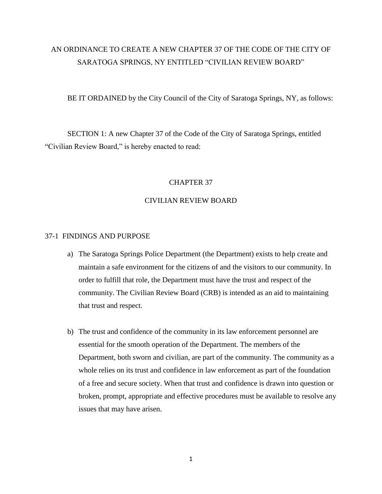# AN ORDINANCE TO CREATE A NEW CHAPTER 37 OF THE CODE OF THE CITY OF SARATOGA SPRINGS, NY ENTITLED "CIVILIAN REVIEW BOARD"

BE IT ORDAINED by the City Council of the City of Saratoga Springs, NY, as follows:

SECTION 1: A new Chapter 37 of the Code of the City of Saratoga Springs, entitled "Civilian Review Board," is hereby enacted to read:

# CHAPTER 37

# CIVILIAN REVIEW BOARD

#### 37-1 FINDINGS AND PURPOSE

- a) The Saratoga Springs Police Department (the Department) exists to help create and maintain a safe environment for the citizens of and the visitors to our community. In order to fulfill that role, the Department must have the trust and respect of the community. The Civilian Review Board (CRB) is intended as an aid to maintaining that trust and respect.
- b) The trust and confidence of the community in its law enforcement personnel are essential for the smooth operation of the Department. The members of the Department, both sworn and civilian, are part of the community. The community as a whole relies on its trust and confidence in law enforcement as part of the foundation of a free and secure society. When that trust and confidence is drawn into question or broken, prompt, appropriate and effective procedures must be available to resolve any issues that may have arisen.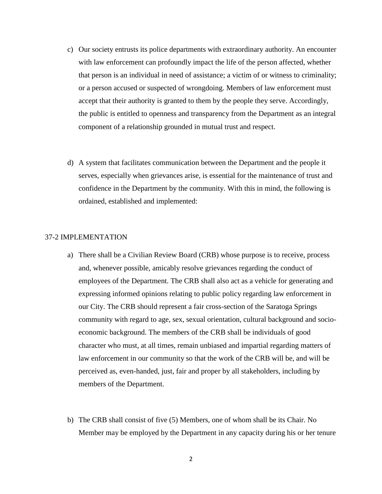- c) Our society entrusts its police departments with extraordinary authority. An encounter with law enforcement can profoundly impact the life of the person affected, whether that person is an individual in need of assistance; a victim of or witness to criminality; or a person accused or suspected of wrongdoing. Members of law enforcement must accept that their authority is granted to them by the people they serve. Accordingly, the public is entitled to openness and transparency from the Department as an integral component of a relationship grounded in mutual trust and respect.
- d) A system that facilitates communication between the Department and the people it serves, especially when grievances arise, is essential for the maintenance of trust and confidence in the Department by the community. With this in mind, the following is ordained, established and implemented:

## 37-2 IMPLEMENTATION

- a) There shall be a Civilian Review Board (CRB) whose purpose is to receive, process and, whenever possible, amicably resolve grievances regarding the conduct of employees of the Department. The CRB shall also act as a vehicle for generating and expressing informed opinions relating to public policy regarding law enforcement in our City. The CRB should represent a fair cross-section of the Saratoga Springs community with regard to age, sex, sexual orientation, cultural background and socioeconomic background. The members of the CRB shall be individuals of good character who must, at all times, remain unbiased and impartial regarding matters of law enforcement in our community so that the work of the CRB will be, and will be perceived as, even-handed, just, fair and proper by all stakeholders, including by members of the Department.
- b) The CRB shall consist of five (5) Members, one of whom shall be its Chair. No Member may be employed by the Department in any capacity during his or her tenure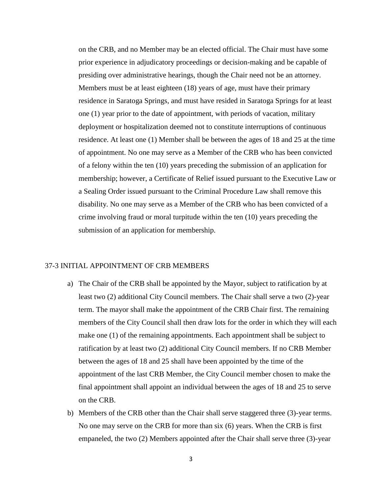on the CRB, and no Member may be an elected official. The Chair must have some prior experience in adjudicatory proceedings or decision-making and be capable of presiding over administrative hearings, though the Chair need not be an attorney. Members must be at least eighteen (18) years of age, must have their primary residence in Saratoga Springs, and must have resided in Saratoga Springs for at least one (1) year prior to the date of appointment, with periods of vacation, military deployment or hospitalization deemed not to constitute interruptions of continuous residence. At least one (1) Member shall be between the ages of 18 and 25 at the time of appointment. No one may serve as a Member of the CRB who has been convicted of a felony within the ten (10) years preceding the submission of an application for membership; however, a Certificate of Relief issued pursuant to the Executive Law or a Sealing Order issued pursuant to the Criminal Procedure Law shall remove this disability. No one may serve as a Member of the CRB who has been convicted of a crime involving fraud or moral turpitude within the ten (10) years preceding the submission of an application for membership.

#### 37-3 INITIAL APPOINTMENT OF CRB MEMBERS

- a) The Chair of the CRB shall be appointed by the Mayor, subject to ratification by at least two (2) additional City Council members. The Chair shall serve a two (2)-year term. The mayor shall make the appointment of the CRB Chair first. The remaining members of the City Council shall then draw lots for the order in which they will each make one (1) of the remaining appointments. Each appointment shall be subject to ratification by at least two (2) additional City Council members. If no CRB Member between the ages of 18 and 25 shall have been appointed by the time of the appointment of the last CRB Member, the City Council member chosen to make the final appointment shall appoint an individual between the ages of 18 and 25 to serve on the CRB.
- b) Members of the CRB other than the Chair shall serve staggered three (3)-year terms. No one may serve on the CRB for more than six (6) years. When the CRB is first empaneled, the two (2) Members appointed after the Chair shall serve three (3)-year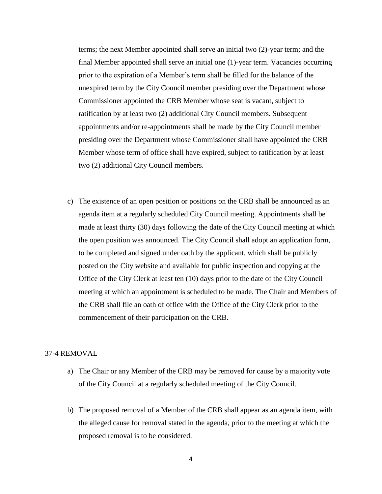terms; the next Member appointed shall serve an initial two (2)-year term; and the final Member appointed shall serve an initial one (1)-year term. Vacancies occurring prior to the expiration of a Member's term shall be filled for the balance of the unexpired term by the City Council member presiding over the Department whose Commissioner appointed the CRB Member whose seat is vacant, subject to ratification by at least two (2) additional City Council members. Subsequent appointments and/or re-appointments shall be made by the City Council member presiding over the Department whose Commissioner shall have appointed the CRB Member whose term of office shall have expired, subject to ratification by at least two (2) additional City Council members.

c) The existence of an open position or positions on the CRB shall be announced as an agenda item at a regularly scheduled City Council meeting. Appointments shall be made at least thirty (30) days following the date of the City Council meeting at which the open position was announced. The City Council shall adopt an application form, to be completed and signed under oath by the applicant, which shall be publicly posted on the City website and available for public inspection and copying at the Office of the City Clerk at least ten (10) days prior to the date of the City Council meeting at which an appointment is scheduled to be made. The Chair and Members of the CRB shall file an oath of office with the Office of the City Clerk prior to the commencement of their participation on the CRB.

## 37-4 REMOVAL

- a) The Chair or any Member of the CRB may be removed for cause by a majority vote of the City Council at a regularly scheduled meeting of the City Council.
- b) The proposed removal of a Member of the CRB shall appear as an agenda item, with the alleged cause for removal stated in the agenda, prior to the meeting at which the proposed removal is to be considered.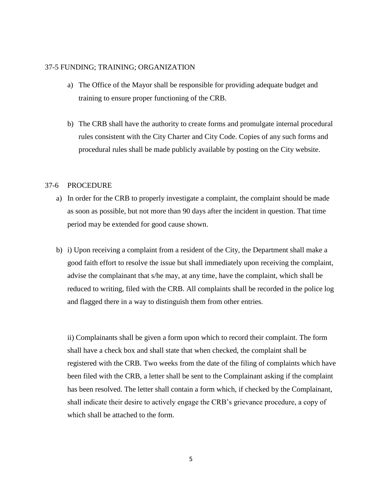### 37-5 FUNDING; TRAINING; ORGANIZATION

- a) The Office of the Mayor shall be responsible for providing adequate budget and training to ensure proper functioning of the CRB.
- b) The CRB shall have the authority to create forms and promulgate internal procedural rules consistent with the City Charter and City Code. Copies of any such forms and procedural rules shall be made publicly available by posting on the City website.

# 37-6 PROCEDURE

- a) In order for the CRB to properly investigate a complaint, the complaint should be made as soon as possible, but not more than 90 days after the incident in question. That time period may be extended for good cause shown.
- b) i) Upon receiving a complaint from a resident of the City, the Department shall make a good faith effort to resolve the issue but shall immediately upon receiving the complaint, advise the complainant that s/he may, at any time, have the complaint, which shall be reduced to writing, filed with the CRB. All complaints shall be recorded in the police log and flagged there in a way to distinguish them from other entries.

ii) Complainants shall be given a form upon which to record their complaint. The form shall have a check box and shall state that when checked, the complaint shall be registered with the CRB. Two weeks from the date of the filing of complaints which have been filed with the CRB, a letter shall be sent to the Complainant asking if the complaint has been resolved. The letter shall contain a form which, if checked by the Complainant, shall indicate their desire to actively engage the CRB's grievance procedure, a copy of which shall be attached to the form.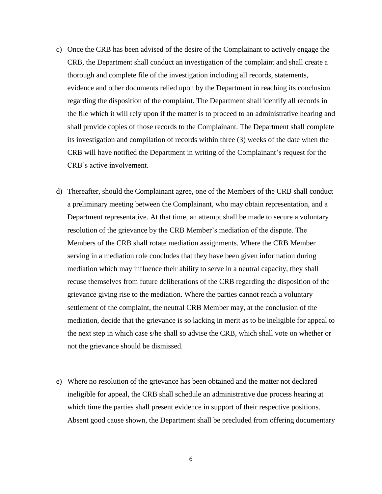- c) Once the CRB has been advised of the desire of the Complainant to actively engage the CRB, the Department shall conduct an investigation of the complaint and shall create a thorough and complete file of the investigation including all records, statements, evidence and other documents relied upon by the Department in reaching its conclusion regarding the disposition of the complaint. The Department shall identify all records in the file which it will rely upon if the matter is to proceed to an administrative hearing and shall provide copies of those records to the Complainant. The Department shall complete its investigation and compilation of records within three (3) weeks of the date when the CRB will have notified the Department in writing of the Complainant's request for the CRB's active involvement.
- d) Thereafter, should the Complainant agree, one of the Members of the CRB shall conduct a preliminary meeting between the Complainant, who may obtain representation, and a Department representative. At that time, an attempt shall be made to secure a voluntary resolution of the grievance by the CRB Member's mediation of the dispute. The Members of the CRB shall rotate mediation assignments. Where the CRB Member serving in a mediation role concludes that they have been given information during mediation which may influence their ability to serve in a neutral capacity, they shall recuse themselves from future deliberations of the CRB regarding the disposition of the grievance giving rise to the mediation. Where the parties cannot reach a voluntary settlement of the complaint, the neutral CRB Member may, at the conclusion of the mediation, decide that the grievance is so lacking in merit as to be ineligible for appeal to the next step in which case s/he shall so advise the CRB, which shall vote on whether or not the grievance should be dismissed.
- e) Where no resolution of the grievance has been obtained and the matter not declared ineligible for appeal, the CRB shall schedule an administrative due process hearing at which time the parties shall present evidence in support of their respective positions. Absent good cause shown, the Department shall be precluded from offering documentary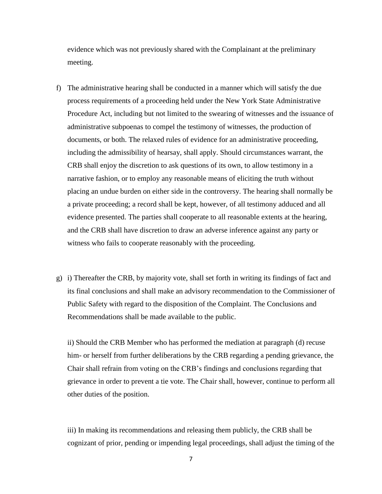evidence which was not previously shared with the Complainant at the preliminary meeting.

- f) The administrative hearing shall be conducted in a manner which will satisfy the due process requirements of a proceeding held under the New York State Administrative Procedure Act, including but not limited to the swearing of witnesses and the issuance of administrative subpoenas to compel the testimony of witnesses, the production of documents, or both. The relaxed rules of evidence for an administrative proceeding, including the admissibility of hearsay, shall apply. Should circumstances warrant, the CRB shall enjoy the discretion to ask questions of its own, to allow testimony in a narrative fashion, or to employ any reasonable means of eliciting the truth without placing an undue burden on either side in the controversy. The hearing shall normally be a private proceeding; a record shall be kept, however, of all testimony adduced and all evidence presented. The parties shall cooperate to all reasonable extents at the hearing, and the CRB shall have discretion to draw an adverse inference against any party or witness who fails to cooperate reasonably with the proceeding.
- g) i) Thereafter the CRB, by majority vote, shall set forth in writing its findings of fact and its final conclusions and shall make an advisory recommendation to the Commissioner of Public Safety with regard to the disposition of the Complaint. The Conclusions and Recommendations shall be made available to the public.

ii) Should the CRB Member who has performed the mediation at paragraph (d) recuse him- or herself from further deliberations by the CRB regarding a pending grievance, the Chair shall refrain from voting on the CRB's findings and conclusions regarding that grievance in order to prevent a tie vote. The Chair shall, however, continue to perform all other duties of the position.

iii) In making its recommendations and releasing them publicly, the CRB shall be cognizant of prior, pending or impending legal proceedings, shall adjust the timing of the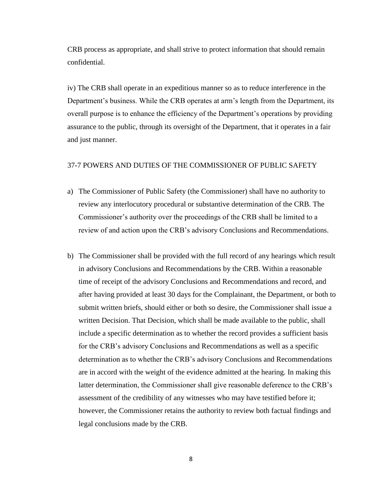CRB process as appropriate, and shall strive to protect information that should remain confidential.

iv) The CRB shall operate in an expeditious manner so as to reduce interference in the Department's business. While the CRB operates at arm's length from the Department, its overall purpose is to enhance the efficiency of the Department's operations by providing assurance to the public, through its oversight of the Department, that it operates in a fair and just manner.

# 37-7 POWERS AND DUTIES OF THE COMMISSIONER OF PUBLIC SAFETY

- a) The Commissioner of Public Safety (the Commissioner) shall have no authority to review any interlocutory procedural or substantive determination of the CRB. The Commissioner's authority over the proceedings of the CRB shall be limited to a review of and action upon the CRB's advisory Conclusions and Recommendations.
- b) The Commissioner shall be provided with the full record of any hearings which result in advisory Conclusions and Recommendations by the CRB. Within a reasonable time of receipt of the advisory Conclusions and Recommendations and record, and after having provided at least 30 days for the Complainant, the Department, or both to submit written briefs, should either or both so desire, the Commissioner shall issue a written Decision. That Decision, which shall be made available to the public, shall include a specific determination as to whether the record provides a sufficient basis for the CRB's advisory Conclusions and Recommendations as well as a specific determination as to whether the CRB's advisory Conclusions and Recommendations are in accord with the weight of the evidence admitted at the hearing. In making this latter determination, the Commissioner shall give reasonable deference to the CRB's assessment of the credibility of any witnesses who may have testified before it; however, the Commissioner retains the authority to review both factual findings and legal conclusions made by the CRB.

8